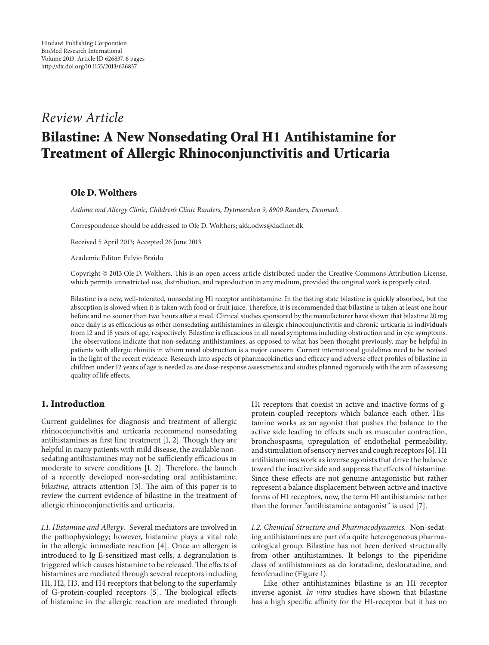# *Review Article*

# **Bilastine: A New Nonsedating Oral H1 Antihistamine for Treatment of Allergic Rhinoconjunctivitis and Urticaria**

## **Ole D. Wolthers**

*Asthma and Allergy Clinic, Children's Clinic Randers, Dytmærsken 9, 8900 Randers, Denmark*

Correspondence should be addressed to Ole D. Wolthers; akk.odws@dadlnet.dk

Received 5 April 2013; Accepted 26 June 2013

Academic Editor: Fulvio Braido

Copyright © 2013 Ole D. Wolthers. This is an open access article distributed under the Creative Commons Attribution License, which permits unrestricted use, distribution, and reproduction in any medium, provided the original work is properly cited.

Bilastine is a new, well-tolerated, nonsedating H1 receptor antihistamine. In the fasting state bilastine is quickly absorbed, but the absorption is slowed when it is taken with food or fruit juice. Therefore, it is recommended that bilastine is taken at least one hour before and no sooner than two hours after a meal. Clinical studies sponsored by the manufacturer have shown that bilastine 20 mg once daily is as efficacious as other nonsedating antihistamines in allergic rhinoconjunctivitis and chronic urticaria in individuals from 12 and 18 years of age, respectively. Bilastine is efficacious in all nasal symptoms including obstruction and in eye symptoms. The observations indicate that non-sedating antihistamines, as opposed to what has been thought previously, may be helpful in patients with allergic rhinitis in whom nasal obstruction is a major concern. Current international guidelines need to be revised in the light of the recent evidence. Research into aspects of pharmacokinetics and efficacy and adverse effect profiles of bilastine in children under 12 years of age is needed as are dose-response assessments and studies planned rigorously with the aim of assessing quality of life effects.

### **1. Introduction**

Current guidelines for diagnosis and treatment of allergic rhinoconjunctivitis and urticaria recommend nonsedating antihistamines as first line treatment [\[1,](#page-4-1) [2](#page-4-2)]. Though they are helpful in many patients with mild disease, the available nonsedating antihistamines may not be sufficiently efficacious in moderate to severe conditions [\[1](#page-4-1), [2](#page-4-2)]. Therefore, the launch of a recently developed non-sedating oral antihistamine, *bilastine,* attracts attention [\[3\]](#page-4-3). The aim of this paper is to review the current evidence of bilastine in the treatment of allergic rhinoconjunctivitis and urticaria.

*1.1. Histamine and Allergy.* Several mediators are involved in the pathophysiology; however, histamine plays a vital role in the allergic immediate reaction [\[4\]](#page-4-4). Once an allergen is introduced to Ig E-sensitized mast cells, a degranulation is triggered which causes histamine to be released.The effects of histamines are mediated through several receptors including H1, H2, H3, and H4 receptors that belong to the superfamily of G-protein-coupled receptors [\[5](#page-4-5)]. The biological effects of histamine in the allergic reaction are mediated through

H1 receptors that coexist in active and inactive forms of gprotein-coupled receptors which balance each other. Histamine works as an agonist that pushes the balance to the active side leading to effects such as muscular contraction, bronchospasms, upregulation of endothelial permeability, and stimulation of sensory nerves and cough receptors [\[6\]](#page-4-6). H1 antihistamines work as inverse agonists that drive the balance toward the inactive side and suppress the effects of histamine. Since these effects are not genuine antagonistic but rather represent a balance displacement between active and inactive forms of H1 receptors, now, the term H1 antihistamine rather than the former "antihistamine antagonist" is used [\[7\]](#page-4-7).

*1.2. Chemical Structure and Pharmacodynamics.* Non-sedating antihistamines are part of a quite heterogeneous pharmacological group. Bilastine has not been derived structurally from other antihistamines. It belongs to the piperidine class of antihistamines as do loratadine, desloratadine, and fexofenadine [\(Figure 1\)](#page-1-0).

Like other antihistamines bilastine is an H1 receptor inverse agonist. *In vitro* studies have shown that bilastine has a high specific affinity for the H1-receptor but it has no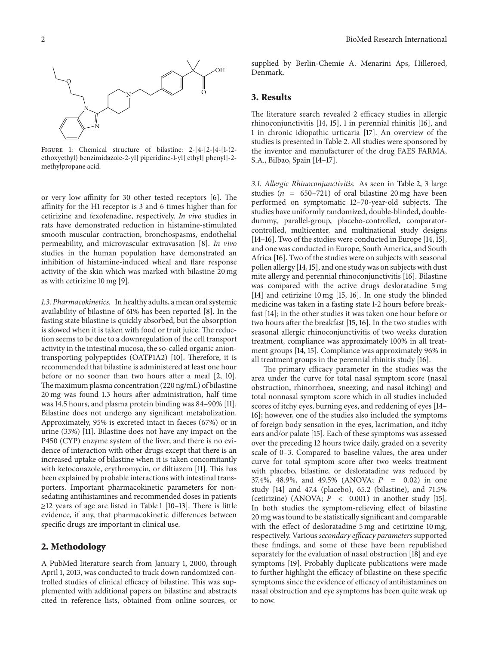

<span id="page-1-0"></span>Figure 1: Chemical structure of bilastine: 2-[4-[2-[4-[1-(2 ethoxyethyl) benzimidazole-2-yl] piperidine-1-yl] ethyl] phenyl]-2 methylpropane acid.

or very low affinity for 30 other tested receptors [\[6](#page-4-6)]. The affinity for the H1 receptor is 3 and 6 times higher than for cetirizine and fexofenadine, respectively. *In vivo* studies in rats have demonstrated reduction in histamine-stimulated smooth muscular contraction, bronchospasms, endothelial permeability, and microvascular extravasation [\[8\]](#page-4-8). *In vivo* studies in the human population have demonstrated an inhibition of histamine-induced wheal and flare response activity of the skin which was marked with bilastine 20 mg as with cetirizine 10 mg [\[9\]](#page-4-9).

*1.3. Pharmacokinetics.* In healthy adults, a mean oral systemic availability of bilastine of 61% has been reported [\[8\]](#page-4-8). In the fasting state bilastine is quickly absorbed, but the absorption is slowed when it is taken with food or fruit juice. The reduction seems to be due to a downregulation of the cell transport activity in the intestinal mucosa, the so-called organic aniontransporting polypeptides (OATP1A2) [\[10](#page-4-10)]. Therefore, it is recommended that bilastine is administered at least one hour before or no sooner than two hours after a meal [\[2](#page-4-2), [10\]](#page-4-10). The maximum plasma concentration (220 ng/mL) of bilastine 20 mg was found 1.3 hours after administration, half time was 14.5 hours, and plasma protein binding was 84–90% [\[11\]](#page-4-11). Bilastine does not undergo any significant metabolization. Approximately, 95% is excreted intact in faeces (67%) or in urine (33%) [\[11](#page-4-11)]. Bilastine does not have any impact on the P450 (CYP) enzyme system of the liver, and there is no evidence of interaction with other drugs except that there is an increased uptake of bilastine when it is taken concomitantly with ketoconazole, erythromycin, or diltiazem [\[11](#page-4-11)]. This has been explained by probable interactions with intestinal transporters. Important pharmacokinetic parameters for nonsedating antihistamines and recommended doses in patients ≥12 years of age are listed in [Table 1](#page-2-0) [\[10](#page-4-10)[–13](#page-4-12)]. There is little evidence, if any, that pharmacokinetic differences between specific drugs are important in clinical use.

#### **2. Methodology**

A PubMed literature search from January 1, 2000, through April 1, 2013, was conducted to track down randomized controlled studies of clinical efficacy of bilastine. This was supplemented with additional papers on bilastine and abstracts cited in reference lists, obtained from online sources, or supplied by Berlin-Chemie A. Menarini Aps, Hilleroed, Denmark.

#### **3. Results**

The literature search revealed 2 efficacy studies in allergic rhinoconjunctivitis [\[14,](#page-4-13) [15](#page-4-14)], 1 in perennial rhinitis [\[16\]](#page-4-15), and 1 in chronic idiopathic urticaria [\[17](#page-4-16)]. An overview of the studies is presented in [Table 2.](#page-2-1) All studies were sponsored by the inventor and manufacturer of the drug FAES FARMA, S.A., Bilbao, Spain [\[14](#page-4-13)[–17](#page-4-16)].

*3.1. Allergic Rhinoconjunctivitis.* As seen in [Table 2,](#page-2-1) 3 large studies ( $n = 650-721$ ) of oral bilastine 20 mg have been performed on symptomatic 12–70-year-old subjects. The studies have uniformly randomized, double-blinded, doubledummy, parallel-group, placebo-controlled, comparatorcontrolled, multicenter, and multinational study designs [\[14](#page-4-13)[–16\]](#page-4-15). Two of the studies were conducted in Europe [\[14,](#page-4-13) [15](#page-4-14)], and one was conducted in Europe, South America, and South Africa [\[16](#page-4-15)]. Two of the studies were on subjects with seasonal pollen allergy [\[14](#page-4-13),[15](#page-4-14)], and one study was on subjects with dust mite allergy and perennial rhinoconjunctivitis [\[16](#page-4-15)]. Bilastine was compared with the active drugs desloratadine 5 mg [\[14](#page-4-13)] and cetirizine 10 mg [\[15,](#page-4-14) [16\]](#page-4-15). In one study the blinded medicine was taken in a fasting state 1-2 hours before breakfast [\[14\]](#page-4-13); in the other studies it was taken one hour before or two hours after the breakfast [\[15](#page-4-14), [16](#page-4-15)]. In the two studies with seasonal allergic rhinoconjunctivitis of two weeks duration treatment, compliance was approximately 100% in all treatment groups [\[14](#page-4-13), [15\]](#page-4-14). Compliance was approximately 96% in all treatment groups in the perennial rhinitis study [\[16](#page-4-15)].

The primary efficacy parameter in the studies was the area under the curve for total nasal symptom score (nasal obstruction, rhinorrhoea, sneezing, and nasal itching) and total nonnasal symptom score which in all studies included scores of itchy eyes, burning eyes, and reddening of eyes [\[14–](#page-4-13) [16\]](#page-4-15); however, one of the studies also included the symptoms of foreign body sensation in the eyes, lacrimation, and itchy ears and/or palate [\[15\]](#page-4-14). Each of these symptoms was assessed over the preceding 12 hours twice daily, graded on a severity scale of 0–3. Compared to baseline values, the area under curve for total symptom score after two weeks treatment with placebo, bilastine, or desloratadine was reduced by 37.4%, 48.9%, and 49.5% (ANOVA;  $P = 0.02$ ) in one study [\[14](#page-4-13)] and 47.4 (placebo), 65.2 (bilastine), and 71.5% (cetirizine) (ANOVA;  $P < 0.001$ ) in another study [\[15](#page-4-14)]. In both studies the symptom-relieving effect of bilastine 20 mg was found to be statistically significant and comparable with the effect of desloratadine 5 mg and cetirizine 10 mg, respectively. Various *secondary efficacy parameters* supported these findings, and some of these have been republished separately for the evaluation of nasal obstruction [\[18](#page-4-17)] and eye symptoms [\[19\]](#page-5-0). Probably duplicate publications were made to further highlight the efficacy of bilastine on these specific symptoms since the evidence of efficacy of antihistamines on nasal obstruction and eye symptoms has been quite weak up to now.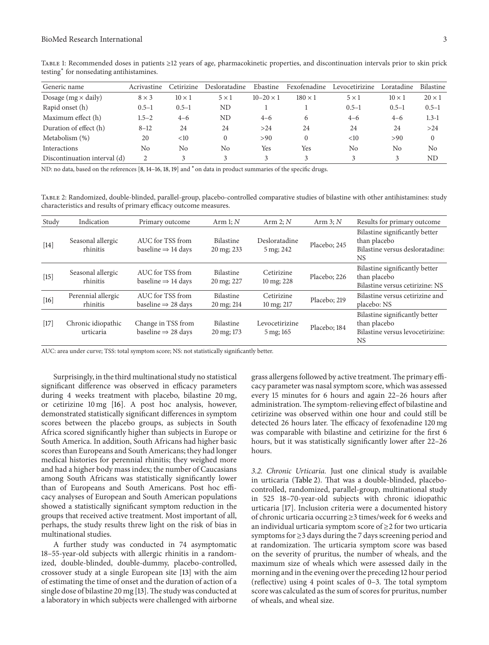| Generic name                 | Acrivastine  | Cetirizine    | Desloratadine | Ebastine           | Fexofenadine   | Levocetirizine | Loratadine    | <b>Bilastine</b> |
|------------------------------|--------------|---------------|---------------|--------------------|----------------|----------------|---------------|------------------|
| Dosage ( $mg \times$ daily)  | $8 \times 3$ | $10 \times 1$ | $5 \times 1$  | $10 - 20 \times 1$ | $180 \times 1$ | $5 \times 1$   | $10 \times 1$ | $20 \times 1$    |
| Rapid onset (h)              | $0.5 - 1$    | $0.5 - 1$     | ΝD            |                    |                | $0.5 - 1$      | $0.5 - 1$     | $0.5 - 1$        |
| Maximum effect (h)           | $1.5 - 2$    | $4 - 6$       | ND            | $4 - 6$            | 6              | $4 - 6$        | $4 - 6$       | $1.3 - 1$        |
| Duration of effect (h)       | $8 - 12$     | 24            | 24            | >24                | 24             | 24             | 24            | >24              |
| Metabolism (%)               | 20           | $<$ 10        | 0             | >90                |                | $<$ 10         | >90           | $\Omega$         |
| <b>Interactions</b>          | No           | No            | No            | Yes                | Yes            | No             | No            | No               |
| Discontinuation interval (d) |              |               | 3             |                    |                | 3              | 3             | ND               |

<span id="page-2-0"></span>Table 1: Recommended doses in patients ≥12 years of age, pharmacokinetic properties, and discontinuation intervals prior to skin prick testing<sup>∗</sup> for nonsedating antihistamines.

ND: no data, based on the references [\[8,](#page-4-8) [14](#page-4-13)[–16,](#page-4-15) [18,](#page-4-17) [19](#page-5-0)] and  $*$  on data in product summaries of the specific drugs.

<span id="page-2-1"></span>Table 2: Randomized, double-blinded, parallel-group, placebo-controlled comparative studies of bilastine with other antihistamines: study characteristics and results of primary efficacy outcome measures.

| Study  | Indication                      | Primary outcome                                      | Arm $1; N$                     | Arm $2; N$                             | Arm $3; N$   | Results for primary outcome                                                                     |
|--------|---------------------------------|------------------------------------------------------|--------------------------------|----------------------------------------|--------------|-------------------------------------------------------------------------------------------------|
| $[14]$ | Seasonal allergic<br>rhinitis   | AUC for TSS from<br>baseline $\Rightarrow$ 14 days   | <b>Bilastine</b><br>20 mg; 233 | Desloratadine<br>5 mg; 242             | Placebo; 245 | Bilastine significantly better<br>than placebo<br>Bilastine versus desloratadine:<br><b>NS</b>  |
| $[15]$ | Seasonal allergic<br>rhinitis   | AUC for TSS from<br>baseline $\Rightarrow$ 14 days   | <b>Bilastine</b><br>20 mg; 227 | Cetirizine<br>$10 \,\mathrm{mg}$ ; 228 | Placebo; 226 | Bilastine significantly better<br>than placebo<br>Bilastine versus cetirizine: NS               |
| $[16]$ | Perennial allergic<br>rhinitis  | AUC for TSS from<br>baseline $\Rightarrow$ 28 days   | <b>Bilastine</b><br>20 mg; 214 | Cetirizine<br>10 mg; 217               | Placebo; 219 | Bilastine versus cetirizine and<br>placebo: NS                                                  |
| $[17]$ | Chronic idiopathic<br>urticaria | Change in TSS from<br>baseline $\Rightarrow$ 28 days | <b>Bilastine</b><br>20 mg; 173 | Levocetirizine<br>5 mg; 165            | Placebo; 184 | Bilastine significantly better<br>than placebo<br>Bilastine versus levocetirizine:<br><b>NS</b> |

AUC: area under curve; TSS: total symptom score; NS: not statistically significantly better.

Surprisingly, in the third multinational study no statistical significant difference was observed in efficacy parameters during 4 weeks treatment with placebo, bilastine 20 mg, or cetirizine 10 mg [\[16](#page-4-15)]. A post hoc analysis, however, demonstrated statistically significant differences in symptom scores between the placebo groups, as subjects in South Africa scored significantly higher than subjects in Europe or South America. In addition, South Africans had higher basic scores than Europeans and South Americans; they had longer medical histories for perennial rhinitis; they weighed more and had a higher body mass index; the number of Caucasians among South Africans was statistically significantly lower than of Europeans and South Americans. Post hoc efficacy analyses of European and South American populations showed a statistically significant symptom reduction in the groups that received active treatment. Most important of all, perhaps, the study results threw light on the risk of bias in multinational studies.

A further study was conducted in 74 asymptomatic 18–55-year-old subjects with allergic rhinitis in a randomized, double-blinded, double-dummy, placebo-controlled, crossover study at a single European site [\[13\]](#page-4-12) with the aim of estimating the time of onset and the duration of action of a single dose of bilastine 20 mg [\[13\]](#page-4-12). The study was conducted at a laboratory in which subjects were challenged with airborne grass allergens followed by active treatment.The primary efficacy parameter was nasal symptom score, which was assessed every 15 minutes for 6 hours and again 22–26 hours after administration.The symptom-relieving effect of bilastine and cetirizine was observed within one hour and could still be detected 26 hours later. The efficacy of fexofenadine 120 mg was comparable with bilastine and cetirizine for the first 6 hours, but it was statistically significantly lower after 22–26 hours.

*3.2. Chronic Urticaria.* Just one clinical study is available in urticaria [\(Table 2\)](#page-2-1). That was a double-blinded, placebocontrolled, randomized, parallel-group, multinational study in 525 18–70-year-old subjects with chronic idiopathic urticaria [\[17](#page-4-16)]. Inclusion criteria were a documented history of chronic urticaria occurring ≥3 times/week for 6 weeks and an individual urticaria symptom score of ≥2 for two urticaria symptoms for ≥3 days during the 7 days screening period and at randomization. The urticaria symptom score was based on the severity of pruritus, the number of wheals, and the maximum size of wheals which were assessed daily in the morning and in the evening over the preceding 12 hour period (reflective) using 4 point scales of 0–3. The total symptom score was calculated as the sum of scores for pruritus, number of wheals, and wheal size.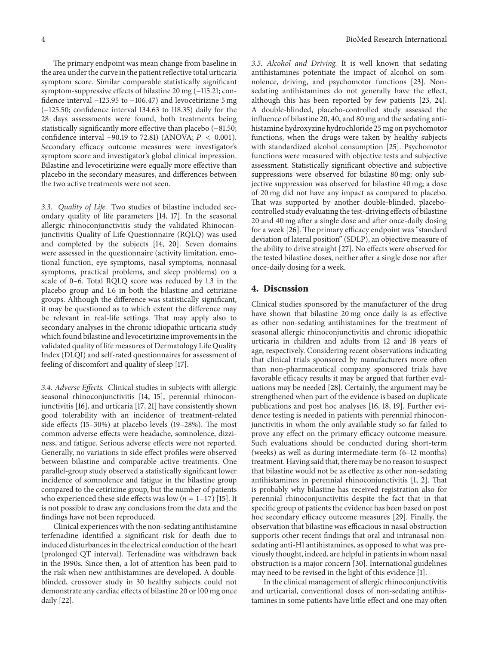The primary endpoint was mean change from baseline in the area under the curve in the patient reflective total urticaria symptom score. Similar comparable statistically significant symptom-suppressive effects of bilastine 20 mg (−115.21; confidence interval −123.95 to −106.47) and levocetirizine 5 mg (−125.50; confidence interval 134.63 to 118.35) daily for the 28 days assessments were found, both treatments being statistically significantly more effective than placebo (−81.50; confidence interval −90.19 to 72.81) (ANOVA;  $P < 0.001$ ). Secondary efficacy outcome measures were investigator's symptom score and investigator's global clinical impression. Bilastine and levocetirizine were equally more effective than placebo in the secondary measures, and differences between the two active treatments were not seen.

*3.3. Quality of Life.* Two studies of bilastine included secondary quality of life parameters [\[14](#page-4-13), [17\]](#page-4-16). In the seasonal allergic rhinoconjunctivitis study the validated Rhinoconjunctivitis Quality of Life Questionnaire (RQLQ) was used and completed by the subjects [\[14](#page-4-13), [20\]](#page-5-1). Seven domains were assessed in the questionnaire (activity limitation, emotional function, eye symptoms, nasal symptoms, nonnasal symptoms, practical problems, and sleep problems) on a scale of 0–6. Total RQLQ score was reduced by 1.3 in the placebo group and 1.6 in both the bilastine and cetirizine groups. Although the difference was statistically significant, it may be questioned as to which extent the difference may be relevant in real-life settings. That may apply also to secondary analyses in the chronic idiopathic urticaria study which found bilastine and levocetirizine improvements in the validated quality of life measures of Dermatology Life Quality Index (DLQI) and self-rated questionnaires for assessment of feeling of discomfort and quality of sleep [\[17](#page-4-16)].

*3.4. Adverse Effects.* Clinical studies in subjects with allergic seasonal rhinoconjunctivitis [\[14,](#page-4-13) [15\]](#page-4-14), perennial rhinoconjunctivitis [\[16](#page-4-15)], and urticaria [\[17,](#page-4-16) [21](#page-5-2)] have consistently shown good tolerability with an incidence of treatment-related side effects (15–30%) at placebo levels (19–28%). The most common adverse effects were headache, somnolence, dizziness, and fatigue. Serious adverse effects were not reported. Generally, no variations in side effect profiles were observed between bilastine and comparable active treatments. One parallel-group study observed a statistically significant lower incidence of somnolence and fatigue in the bilastine group compared to the cetirizine group, but the number of patients who experienced these side effects was low  $(n=1-17)$  [\[15\]](#page-4-14). It is not possible to draw any conclusions from the data and the findings have not been reproduced.

Clinical experiences with the non-sedating antihistamine terfenadine identified a significant risk for death due to induced disturbances in the electrical conduction of the heart (prolonged QT interval). Terfenadine was withdrawn back in the 1990s. Since then, a lot of attention has been paid to the risk when new antihistamines are developed. A doubleblinded, crossover study in 30 healthy subjects could not demonstrate any cardiac effects of bilastine 20 or 100 mg once daily [\[22\]](#page-5-3).

*3.5. Alcohol and Driving.* It is well known that sedating antihistamines potentiate the impact of alcohol on somnolence, driving, and psychomotor functions [\[23\]](#page-5-4). Nonsedating antihistamines do not generally have the effect, although this has been reported by few patients [\[23](#page-5-4), [24](#page-5-5)]. A double-blinded, placebo-controlled study assessed the influence of bilastine 20, 40, and 80 mg and the sedating antihistamine hydroxyzine hydrochloride 25 mg on psychomotor functions, when the drugs were taken by healthy subjects with standardized alcohol consumption [\[25\]](#page-5-6). Psychomotor functions were measured with objective tests and subjective assessment. Statistically significant objective and subjective suppressions were observed for bilastine 80 mg; only subjective suppression was observed for bilastine 40 mg; a dose of 20 mg did not have any impact as compared to placebo. That was supported by another double-blinded, placebocontrolled study evaluating the test-driving effects of bilastine 20 and 40 mg after a single dose and after once-daily dosing for a week [\[26](#page-5-7)]. The primary efficacy endpoint was "standard deviation of lateral position" (SDLP), an objective measure of the ability to drive straight [\[27](#page-5-8)]. No effects were observed for the tested bilastine doses, neither after a single dose nor after once-daily dosing for a week.

#### **4. Discussion**

Clinical studies sponsored by the manufacturer of the drug have shown that bilastine 20 mg once daily is as effective as other non-sedating antihistamines for the treatment of seasonal allergic rhinoconjunctivitis and chronic idiopathic urticaria in children and adults from 12 and 18 years of age, respectively. Considering recent observations indicating that clinical trials sponsored by manufacturers more often than non-pharmaceutical company sponsored trials have favorable efficacy results it may be argued that further evaluations may be needed [\[28](#page-5-9)]. Certainly, the argument may be strengthened when part of the evidence is based on duplicate publications and post hoc analyses [\[16](#page-4-15), [18,](#page-4-17) [19](#page-5-0)]. Further evidence testing is needed in patients with perennial rhinoconjunctivitis in whom the only available study so far failed to prove any effect on the primary efficacy outcome measure. Such evaluations should be conducted during short-term (weeks) as well as during intermediate-term (6–12 months) treatment. Having said that, there may be no reason to suspect that bilastine would not be as effective as other non-sedating antihistamines in perennial rhinoconjunctivitis [\[1,](#page-4-1) [2](#page-4-2)]. That is probably why bilastine has received registration also for perennial rhinoconjunctivitis despite the fact that in that specific group of patients the evidence has been based on post hoc secondary efficacy outcome measures [\[29\]](#page-5-10). Finally, the observation that bilastine was efficacious in nasal obstruction supports other recent findings that oral and intranasal nonsedating anti-H1 antihistamines, as opposed to what was previously thought, indeed, are helpful in patients in whom nasal obstruction is a major concern [\[30\]](#page-5-11). International guidelines may need to be revised in the light of this evidence [\[1\]](#page-4-1).

In the clinical management of allergic rhinoconjunctivitis and urticarial, conventional doses of non-sedating antihistamines in some patients have little effect and one may often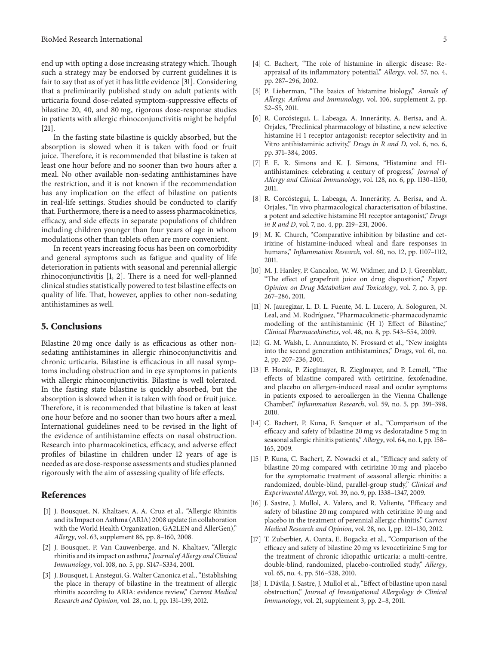end up with opting a dose increasing strategy which. Though such a strategy may be endorsed by current guidelines it is fair to say that as of yet it has little evidence [\[31\]](#page-5-12). Considering that a preliminarily published study on adult patients with urticaria found dose-related symptom-suppressive effects of bilastine 20, 40, and 80 mg, rigorous dose-response studies in patients with allergic rhinoconjunctivitis might be helpful [\[21](#page-5-2)].

In the fasting state bilastine is quickly absorbed, but the absorption is slowed when it is taken with food or fruit juice. Therefore, it is recommended that bilastine is taken at least one hour before and no sooner than two hours after a meal. No other available non-sedating antihistamines have the restriction, and it is not known if the recommendation has any implication on the effect of bilastine on patients in real-life settings. Studies should be conducted to clarify that. Furthermore, there is a need to assess pharmacokinetics, efficacy, and side effects in separate populations of children including children younger than four years of age in whom modulations other than tablets often are more convenient.

In recent years increasing focus has been on comorbidity and general symptoms such as fatigue and quality of life deterioration in patients with seasonal and perennial allergic rhinoconjunctivitis [\[1](#page-4-1), [2\]](#page-4-2). There is a need for well-planned clinical studies statistically powered to test bilastine effects on quality of life. That, however, applies to other non-sedating antihistamines as well.

#### **5. Conclusions**

Bilastine 20 mg once daily is as efficacious as other nonsedating antihistamines in allergic rhinoconjunctivitis and chronic urticaria. Bilastine is efficacious in all nasal symptoms including obstruction and in eye symptoms in patients with allergic rhinoconjunctivitis. Bilastine is well tolerated. In the fasting state bilastine is quickly absorbed, but the absorption is slowed when it is taken with food or fruit juice. Therefore, it is recommended that bilastine is taken at least one hour before and no sooner than two hours after a meal. International guidelines need to be revised in the light of the evidence of antihistamine effects on nasal obstruction. Research into pharmacokinetics, efficacy, and adverse effect profiles of bilastine in children under 12 years of age is needed as are dose-response assessments and studies planned rigorously with the aim of assessing quality of life effects.

#### <span id="page-4-0"></span>**References**

- <span id="page-4-1"></span>[1] J. Bousquet, N. Khaltaev, A. A. Cruz et al., "Allergic Rhinitis and its Impact on Asthma (ARIA) 2008 update (in collaboration with the World Health Organization, GA2LEN and AllerGen)," *Allergy*, vol. 63, supplement 86, pp. 8–160, 2008.
- <span id="page-4-2"></span>[2] J. Bousquet, P. Van Cauwenberge, and N. Khaltaev, "Allergic rhinitis and its impact on asthma," *Journal of Allergy and Clinical Immunology*, vol. 108, no. 5, pp. S147–S334, 2001.
- <span id="page-4-3"></span>[3] J. Bousquet, I. Anstegui, G. Walter Canonica et al., "Establishing the place in therapy of bilastine in the treatment of allergic rhinitis according to ARIA: evidence review," *Current Medical Research and Opinion*, vol. 28, no. 1, pp. 131–139, 2012.
- <span id="page-4-4"></span>[4] C. Bachert, "The role of histamine in allergic disease: Reappraisal of its inflammatory potential," *Allergy*, vol. 57, no. 4, pp. 287–296, 2002.
- <span id="page-4-5"></span>[5] P. Lieberman, "The basics of histamine biology," *Annals of Allergy, Asthma and Immunology*, vol. 106, supplement 2, pp. S2–S5, 2011.
- <span id="page-4-6"></span>[6] R. Corcóstegui, L. Labeaga, A. Innerárity, A. Berisa, and A. Orjales, "Preclinical pharmacology of bilastine, a new selective histamine H 1 receptor antagonist: receptor selectivity and in Vitro antihistaminic activity," *Drugs in R and D*, vol. 6, no. 6, pp. 371–384, 2005.
- <span id="page-4-7"></span>[7] F. E. R. Simons and K. J. Simons, "Histamine and H1 antihistamines: celebrating a century of progress," *Journal of Allergy and Clinical Immunology*, vol. 128, no. 6, pp. 1130–1150, 2011.
- <span id="page-4-8"></span>[8] R. Corcóstegui, L. Labeaga, A. Innerárity, A. Berisa, and A. Orjales, "In vivo pharmacological characterisation of bilastine, a potent and selective histamine H1 receptor antagonist," *Drugs in R and D*, vol. 7, no. 4, pp. 219–231, 2006.
- <span id="page-4-9"></span>[9] M. K. Church, "Comparative inhibition by bilastine and cetirizine of histamine-induced wheal and flare responses in humans," *Inflammation Research*, vol. 60, no. 12, pp. 1107–1112, 2011.
- <span id="page-4-10"></span>[10] M. J. Hanley, P. Cancalon, W. W. Widmer, and D. J. Greenblatt, "The effect of grapefruit juice on drug disposition," *Expert Opinion on Drug Metabolism and Toxicology*, vol. 7, no. 3, pp. 267–286, 2011.
- <span id="page-4-11"></span>[11] N. Jauregizar, L. D. L. Fuente, M. L. Lucero, A. Sologuren, N. Leal, and M. Rodríguez, "Pharmacokinetic-pharmacodynamic modelling of the antihistaminic (H 1) Effect of Bilastine," *Clinical Pharmacokinetics*, vol. 48, no. 8, pp. 543–554, 2009.
- [12] G. M. Walsh, L. Annunziato, N. Frossard et al., "New insights into the second generation antihistamines," *Drugs*, vol. 61, no. 2, pp. 207–236, 2001.
- <span id="page-4-12"></span>[13] F. Horak, P. Zieglmayer, R. Zieglmayer, and P. Lemell, "The effects of bilastine compared with cetirizine, fexofenadine, and placebo on allergen-induced nasal and ocular symptoms in patients exposed to aeroallergen in the Vienna Challenge Chamber," *Inflammation Research*, vol. 59, no. 5, pp. 391–398, 2010.
- <span id="page-4-13"></span>[14] C. Bachert, P. Kuna, F. Sanquer et al., "Comparison of the efficacy and safety of bilastine 20 mg vs desloratadine 5 mg in seasonal allergic rhinitis patients," *Allergy*, vol. 64, no. 1, pp. 158– 165, 2009.
- <span id="page-4-14"></span>[15] P. Kuna, C. Bachert, Z. Nowacki et al., "Efficacy and safety of bilastine 20 mg compared with cetirizine 10 mg and placebo for the symptomatic treatment of seasonal allergic rhinitis: a randomized, double-blind, parallel-group study," *Clinical and Experimental Allergy*, vol. 39, no. 9, pp. 1338–1347, 2009.
- <span id="page-4-15"></span>[16] J. Sastre, J. Mullol, A. Valero, and R. Valiente, "Efficacy and safety of bilastine 20 mg compared with cetirizine 10 mg and placebo in the treatment of perennial allergic rhinitis," *Current Medical Research and Opinion*, vol. 28, no. 1, pp. 121–130, 2012.
- <span id="page-4-16"></span>[17] T. Zuberbier, A. Oanta, E. Bogacka et al., "Comparison of the efficacy and safety of bilastine 20 mg vs levocetirizine 5 mg for the treatment of chronic idiopathic urticaria: a multi-centre, double-blind, randomized, placebo-controlled study," *Allergy*, vol. 65, no. 4, pp. 516–528, 2010.
- <span id="page-4-17"></span>[18] I. Dávila, J. Sastre, J. Mullol et al., "Effect of bilastine upon nasal obstruction," *Journal of Investigational Allergology & Clinical Immunology*, vol. 21, supplement 3, pp. 2–8, 2011.